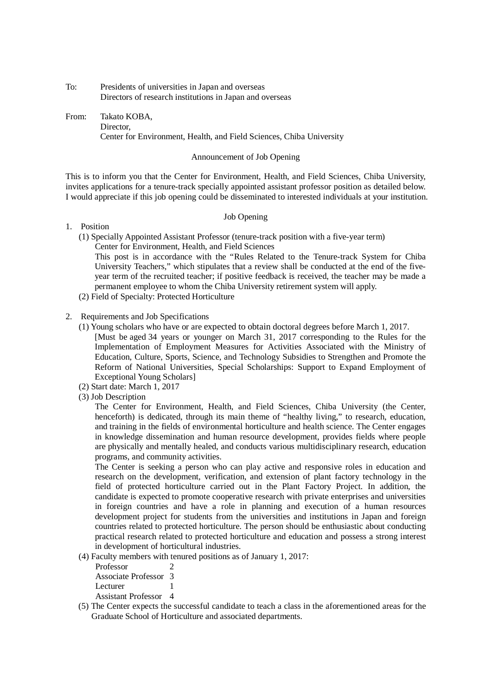To: Presidents of universities in Japan and overseas Directors of research institutions in Japan and overseas

From: Takato KOBA, Director, Center for Environment, Health, and Field Sciences, Chiba University

#### Announcement of Job Opening

This is to inform you that the Center for Environment, Health, and Field Sciences, Chiba University, invites applications for a tenure-track specially appointed assistant professor position as detailed below. I would appreciate if this job opening could be disseminated to interested individuals at your institution.

#### Job Opening

- 1. Position
	- (1) Specially Appointed Assistant Professor (tenure-track position with a five-year term) Center for Environment, Health, and Field Sciences

This post is in accordance with the "Rules Related to the Tenure-track System for Chiba University Teachers," which stipulates that a review shall be conducted at the end of the fiveyear term of the recruited teacher; if positive feedback is received, the teacher may be made a permanent employee to whom the Chiba University retirement system will apply.

- (2) Field of Specialty: Protected Horticulture
- 2. Requirements and Job Specifications
	- (1) Young scholars who have or are expected to obtain doctoral degrees before March 1, 2017. [Must be aged 34 years or younger on March 31, 2017 corresponding to the Rules for the Implementation of Employment Measures for Activities Associated with the Ministry of Education, Culture, Sports, Science, and Technology Subsidies to Strengthen and Promote the Reform of National Universities, Special Scholarships: Support to Expand Employment of Exceptional Young Scholars]
	- (2) Start date: March 1, 2017
	- (3) Job Description

The Center for Environment, Health, and Field Sciences, Chiba University (the Center, henceforth) is dedicated, through its main theme of "healthy living," to research, education, and training in the fields of environmental horticulture and health science. The Center engages in knowledge dissemination and human resource development, provides fields where people are physically and mentally healed, and conducts various multidisciplinary research, education programs, and community activities.

The Center is seeking a person who can play active and responsive roles in education and research on the development, verification, and extension of plant factory technology in the field of protected horticulture carried out in the Plant Factory Project. In addition, the candidate is expected to promote cooperative research with private enterprises and universities in foreign countries and have a role in planning and execution of a human resources development project for students from the universities and institutions in Japan and foreign countries related to protected horticulture. The person should be enthusiastic about conducting practical research related to protected horticulture and education and possess a strong interest in development of horticultural industries.

- (4) Faculty members with tenured positions as of January 1, 2017:
	- Professor 2 Associate Professor 3 Lecturer 1

Assistant Professor 4

(5) The Center expects the successful candidate to teach a class in the aforementioned areas for the Graduate School of Horticulture and associated departments.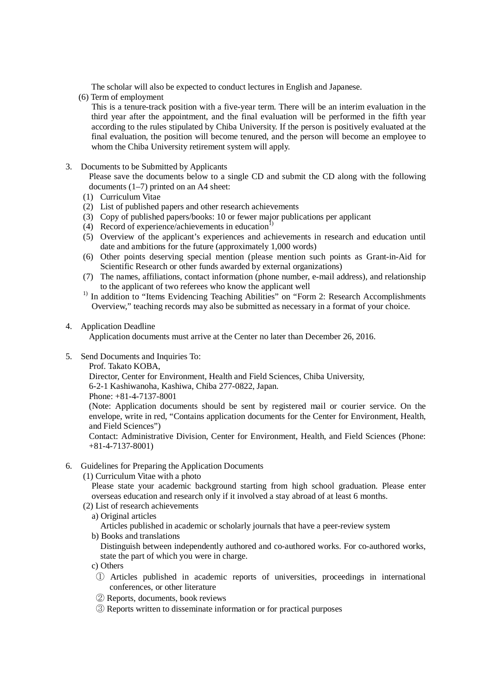The scholar will also be expected to conduct lectures in English and Japanese.

(6) Term of employment

 This is a tenure-track position with a five-year term. There will be an interim evaluation in the third year after the appointment, and the final evaluation will be performed in the fifth year according to the rules stipulated by Chiba University. If the person is positively evaluated at the final evaluation, the position will become tenured, and the person will become an employee to whom the Chiba University retirement system will apply.

3. Documents to be Submitted by Applicants

Please save the documents below to a single CD and submit the CD along with the following documents (1–7) printed on an A4 sheet:

- (1) Curriculum Vitae
- (2) List of published papers and other research achievements
- (3) Copy of published papers/books: 10 or fewer major publications per applicant
- (4) Record of experience/achievements in education<sup>1)</sup>
- (5) Overview of the applicant's experiences and achievements in research and education until date and ambitions for the future (approximately 1,000 words)
- (6) Other points deserving special mention (please mention such points as Grant-in-Aid for Scientific Research or other funds awarded by external organizations)
- (7) The names, affiliations, contact information (phone number, e-mail address), and relationship
- $t_1$ <sup>1)</sup> In addition to "Items Evidencing Teaching Abilities" on "Form 2: Research Accomplishments" Overview," teaching records may also be submitted as necessary in a format of your choice.

#### 4. Application Deadline

Application documents must arrive at the Center no later than December 26, 2016.

- 5. Send Documents and Inquiries To:
	- Prof. Takato KOBA,

Director, Center for Environment, Health and Field Sciences, Chiba University,

6-2-1 Kashiwanoha, Kashiwa, Chiba 277-0822, Japan.

Phone: +81-4-7137-8001

(Note: Application documents should be sent by registered mail or courier service. On the envelope, write in red, "Contains application documents for the Center for Environment, Health, and Field Sciences")

Contact: Administrative Division, Center for Environment, Health, and Field Sciences (Phone: +81-4-7137-8001)

### 6. Guidelines for Preparing the Application Documents

(1) Curriculum Vitae with a photo

Please state your academic background starting from high school graduation. Please enter overseas education and research only if it involved a stay abroad of at least 6 months.

- (2) List of research achievements
- a) Original articles

Articles published in academic or scholarly journals that have a peer-review system

b) Books and translations

Distinguish between independently authored and co-authored works. For co-authored works, state the part of which you were in charge.

- c) Others
- ① Articles published in academic reports of universities, proceedings in international conferences, or other literature
- ② Reports, documents, book reviews
- ③ Reports written to disseminate information or for practical purposes